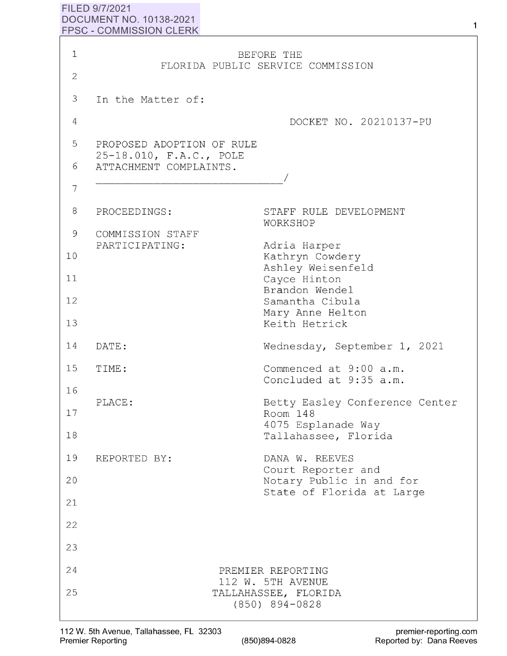## **FILED 9/7/2021 DOCUMENT NO. 10138-2021 FPSC** - **COMMISSION CLERK**

| 1              |                                                      | BEFORE THE                                                     |
|----------------|------------------------------------------------------|----------------------------------------------------------------|
| $\overline{2}$ |                                                      | FLORIDA PUBLIC SERVICE COMMISSION                              |
| 3              | In the Matter of:                                    |                                                                |
| $\overline{4}$ |                                                      | DOCKET NO. 20210137-PU                                         |
| 5              | PROPOSED ADOPTION OF RULE<br>25-18.010, F.A.C., POLE |                                                                |
| 6              | ATTACHMENT COMPLAINTS.                               |                                                                |
| 7              |                                                      |                                                                |
| 8              | PROCEEDINGS:                                         | STAFF RULE DEVELOPMENT<br>WORKSHOP                             |
| 9              | COMMISSION STAFF<br>PARTICIPATING:                   | Adria Harper                                                   |
| 10             |                                                      | Kathryn Cowdery<br>Ashley Weisenfeld                           |
| 11             |                                                      | Cayce Hinton<br>Brandon Wendel                                 |
| 12             |                                                      | Samantha Cibula<br>Mary Anne Helton                            |
| 13             |                                                      | Keith Hetrick                                                  |
| 14             | DATE:                                                | Wednesday, September 1, 2021                                   |
| 15             | TIME:                                                | Commenced at 9:00 a.m.<br>Concluded at 9:35 a.m.               |
| 16             | PLACE:                                               | Betty Easley Conference Center                                 |
| 17             |                                                      | Room 148<br>4075 Esplanade Way                                 |
| 18             |                                                      | Tallahassee, Florida                                           |
| 19             | REPORTED BY:                                         | DANA W. REEVES<br>Court Reporter and                           |
| 20             |                                                      | Notary Public in and for<br>State of Florida at Large          |
| 21             |                                                      |                                                                |
| 22<br>23       |                                                      |                                                                |
| 24             |                                                      |                                                                |
| 25             |                                                      | PREMIER REPORTING<br>112 W. 5TH AVENUE<br>TALLAHASSEE, FLORIDA |
|                |                                                      | $(850)$ 894-0828                                               |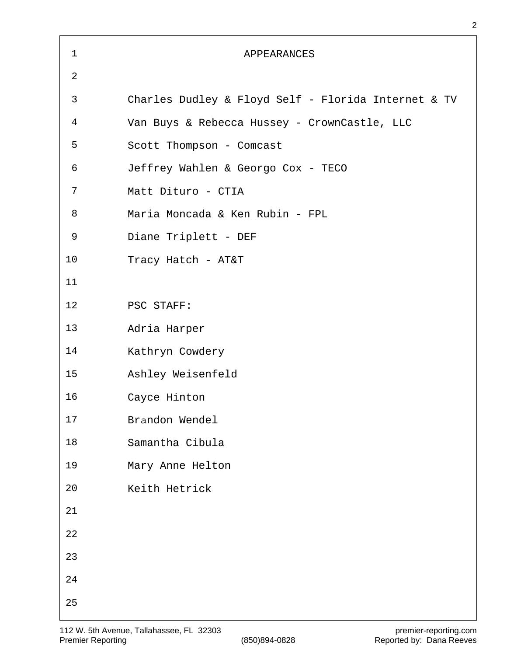| $\mathbf 1$    | <b>APPEARANCES</b>                                  |
|----------------|-----------------------------------------------------|
| $\overline{2}$ |                                                     |
| 3              | Charles Dudley & Floyd Self - Florida Internet & TV |
| 4              | Van Buys & Rebecca Hussey - CrownCastle, LLC        |
| 5              | Scott Thompson - Comcast                            |
| 6              | Jeffrey Wahlen & Georgo Cox - TECO                  |
| 7              | Matt Dituro - CTIA                                  |
| 8              | Maria Moncada & Ken Rubin - FPL                     |
| 9              | Diane Triplett - DEF                                |
| 10             | Tracy Hatch - AT&T                                  |
| 11             |                                                     |
| 12             | PSC STAFF:                                          |
| 13             | Adria Harper                                        |
| 14             | Kathryn Cowdery                                     |
| 15             | Ashley Weisenfeld                                   |
| 16             | Cayce Hinton                                        |
| 17             | Brandon Wendel                                      |
| 18             | Samantha Cibula                                     |
| 19             | Mary Anne Helton                                    |
| 20             | Keith Hetrick                                       |
| 21             |                                                     |
| 22             |                                                     |
| 23             |                                                     |
| 24             |                                                     |
| 25             |                                                     |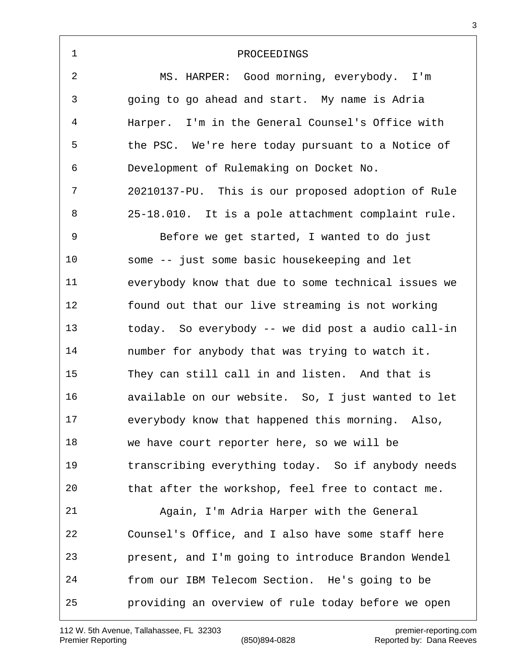| $\mathbf 1$ | PROCEEDINGS                                         |
|-------------|-----------------------------------------------------|
| 2           | MS. HARPER: Good morning, everybody. I'm            |
| 3           | going to go ahead and start. My name is Adria       |
| 4           | Harper. I'm in the General Counsel's Office with    |
| 5           | the PSC. We're here today pursuant to a Notice of   |
| 6           | Development of Rulemaking on Docket No.             |
| 7           | 20210137-PU. This is our proposed adoption of Rule  |
| 8           | 25-18.010. It is a pole attachment complaint rule.  |
| 9           | Before we get started, I wanted to do just          |
| 10          | some -- just some basic housekeeping and let        |
| 11          | everybody know that due to some technical issues we |
| 12          | found out that our live streaming is not working    |
| 13          | today. So everybody -- we did post a audio call-in  |
| 14          | number for anybody that was trying to watch it.     |
| 15          | They can still call in and listen. And that is      |
| 16          | available on our website. So, I just wanted to let  |
| 17          | everybody know that happened this morning. Also,    |
| 18          | we have court reporter here, so we will be          |
| 19          | transcribing everything today. So if anybody needs  |
| 20          | that after the workshop, feel free to contact me.   |
| 21          | Again, I'm Adria Harper with the General            |
| 22          | Counsel's Office, and I also have some staff here   |
| 23          | present, and I'm going to introduce Brandon Wendel  |
| 24          | from our IBM Telecom Section. He's going to be      |
| 25          | providing an overview of rule today before we open  |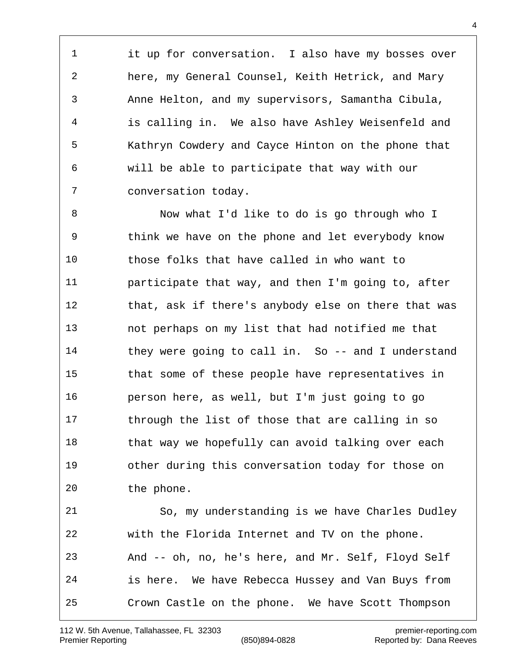it up for conversation. I also have my bosses over here, my General Counsel, Keith Hetrick, and Mary Anne Helton, and my supervisors, Samantha Cibula, is calling in. We also have Ashley Weisenfeld and Kathryn Cowdery and Cayce Hinton on the phone that will be able to participate that way with our conversation today.

 Now what I'd like to do is go through who I think we have on the phone and let everybody know those folks that have called in who want to participate that way, and then I'm going to, after that, ask if there's anybody else on there that was not perhaps on my list that had notified me that they were going to call in. So -- and I understand that some of these people have representatives in person here, as well, but I'm just going to go through the list of those that are calling in so 18 that way we hopefully can avoid talking over each other during this conversation today for those on the phone. So, my understanding is we have Charles Dudley with the Florida Internet and TV on the phone. And -- oh, no, he's here, and Mr. Self, Floyd Self

 is here. We have Rebecca Hussey and Van Buys from Crown Castle on the phone. We have Scott Thompson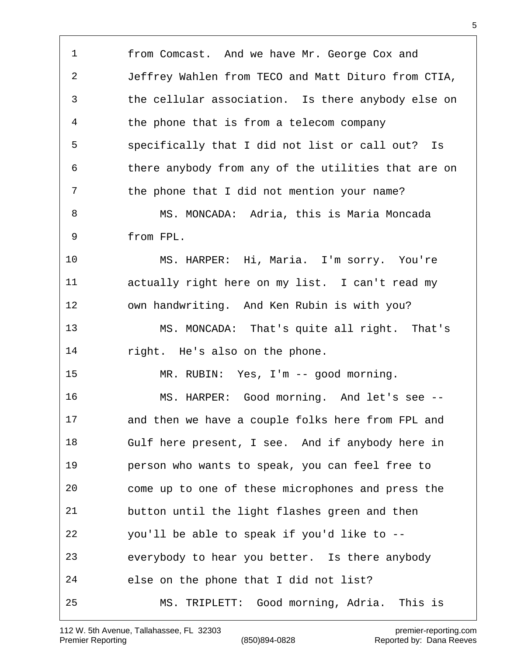from Comcast. And we have Mr. George Cox and Jeffrey Wahlen from TECO and Matt Dituro from CTIA, the cellular association. Is there anybody else on the phone that is from a telecom company specifically that I did not list or call out? Is there anybody from any of the utilities that are on the phone that I did not mention your name? MS. MONCADA: Adria, this is Maria Moncada from FPL. MS. HARPER: Hi, Maria. I'm sorry. You're actually right here on my list. I can't read my own handwriting. And Ken Rubin is with you? MS. MONCADA: That's quite all right. That's right. He's also on the phone. MR. RUBIN: Yes, I'm -- good morning. MS. HARPER: Good morning. And let's see -- and then we have a couple folks here from FPL and Gulf here present, I see. And if anybody here in person who wants to speak, you can feel free to come up to one of these microphones and press the button until the light flashes green and then you'll be able to speak if you'd like to -- everybody to hear you better. Is there anybody else on the phone that I did not list? MS. TRIPLETT: Good morning, Adria. This is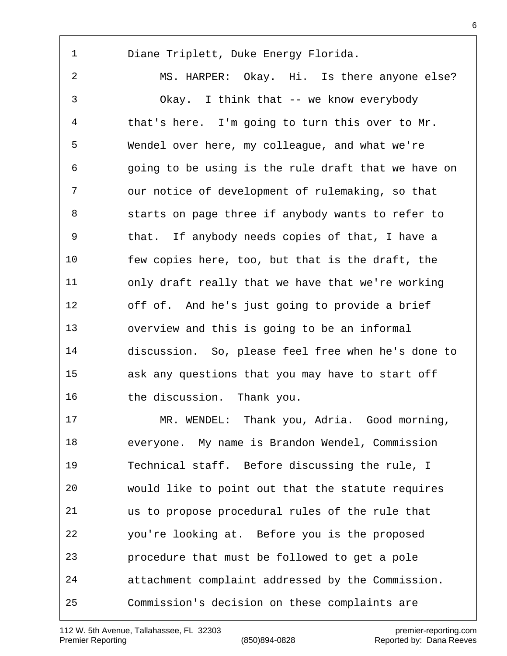Diane Triplett, Duke Energy Florida.

 MS. HARPER: Okay. Hi. Is there anyone else? Okay. I think that -- we know everybody that's here. I'm going to turn this over to Mr. Wendel over here, my colleague, and what we're going to be using is the rule draft that we have on our notice of development of rulemaking, so that starts on page three if anybody wants to refer to that. If anybody needs copies of that, I have a few copies here, too, but that is the draft, the only draft really that we have that we're working off of. And he's just going to provide a brief overview and this is going to be an informal discussion. So, please feel free when he's done to ask any questions that you may have to start off the discussion. Thank you.

 MR. WENDEL: Thank you, Adria. Good morning, everyone. My name is Brandon Wendel, Commission Technical staff. Before discussing the rule, I would like to point out that the statute requires us to propose procedural rules of the rule that you're looking at. Before you is the proposed procedure that must be followed to get a pole attachment complaint addressed by the Commission. Commission's decision on these complaints are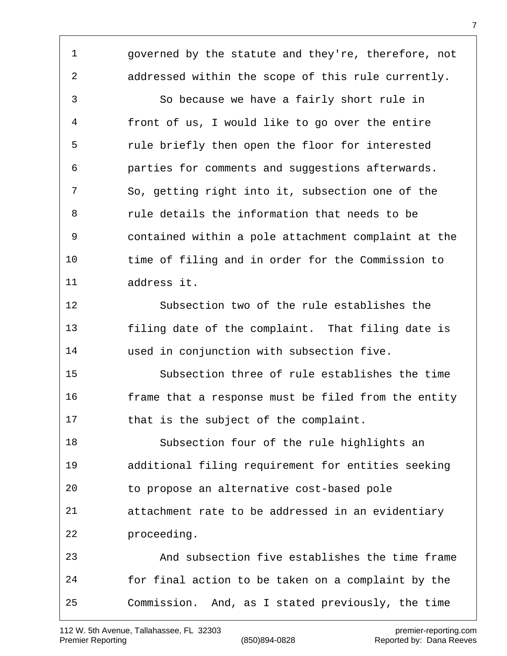governed by the statute and they're, therefore, not addressed within the scope of this rule currently.

 So because we have a fairly short rule in front of us, I would like to go over the entire rule briefly then open the floor for interested parties for comments and suggestions afterwards. So, getting right into it, subsection one of the rule details the information that needs to be contained within a pole attachment complaint at the time of filing and in order for the Commission to address it.

 Subsection two of the rule establishes the filing date of the complaint. That filing date is used in conjunction with subsection five.

 Subsection three of rule establishes the time 16 frame that a response must be filed from the entity that is the subject of the complaint.

 Subsection four of the rule highlights an additional filing requirement for entities seeking to propose an alternative cost-based pole attachment rate to be addressed in an evidentiary proceeding.

 And subsection five establishes the time frame for final action to be taken on a complaint by the Commission. And, as I stated previously, the time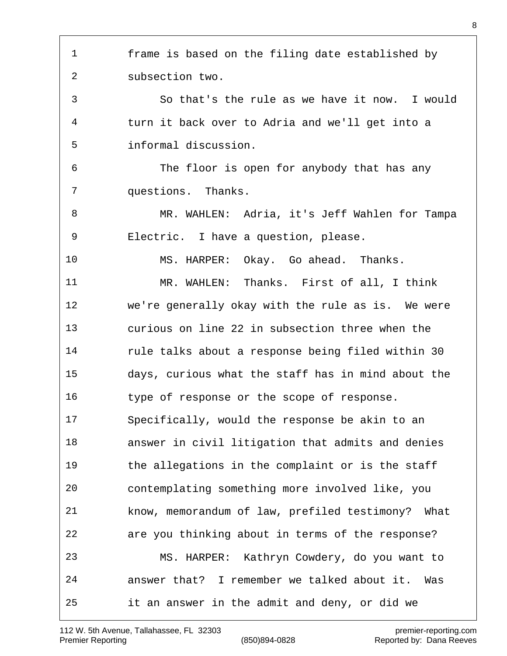frame is based on the filing date established by subsection two. So that's the rule as we have it now. I would turn it back over to Adria and we'll get into a informal discussion. The floor is open for anybody that has any questions. Thanks. MR. WAHLEN: Adria, it's Jeff Wahlen for Tampa Electric. I have a question, please. MS. HARPER: Okay. Go ahead. Thanks. MR. WAHLEN: Thanks. First of all, I think we're generally okay with the rule as is. We were curious on line 22 in subsection three when the rule talks about a response being filed within 30 days, curious what the staff has in mind about the type of response or the scope of response. Specifically, would the response be akin to an answer in civil litigation that admits and denies the allegations in the complaint or is the staff contemplating something more involved like, you know, memorandum of law, prefiled testimony? What are you thinking about in terms of the response? MS. HARPER: Kathryn Cowdery, do you want to answer that? I remember we talked about it. Was it an answer in the admit and deny, or did we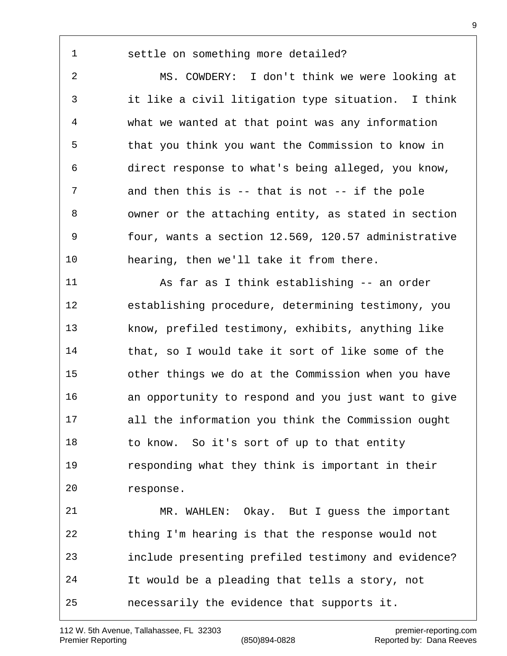## settle on something more detailed?

 MS. COWDERY: I don't think we were looking at it like a civil litigation type situation. I think what we wanted at that point was any information that you think you want the Commission to know in direct response to what's being alleged, you know, and then this is -- that is not -- if the pole owner or the attaching entity, as stated in section four, wants a section 12.569, 120.57 administrative hearing, then we'll take it from there.

 As far as I think establishing -- an order establishing procedure, determining testimony, you know, prefiled testimony, exhibits, anything like that, so I would take it sort of like some of the other things we do at the Commission when you have an opportunity to respond and you just want to give all the information you think the Commission ought to know. So it's sort of up to that entity responding what they think is important in their response. MR. WAHLEN: Okay. But I guess the important thing I'm hearing is that the response would not

include presenting prefiled testimony and evidence?

It would be a pleading that tells a story, not

necessarily the evidence that supports it.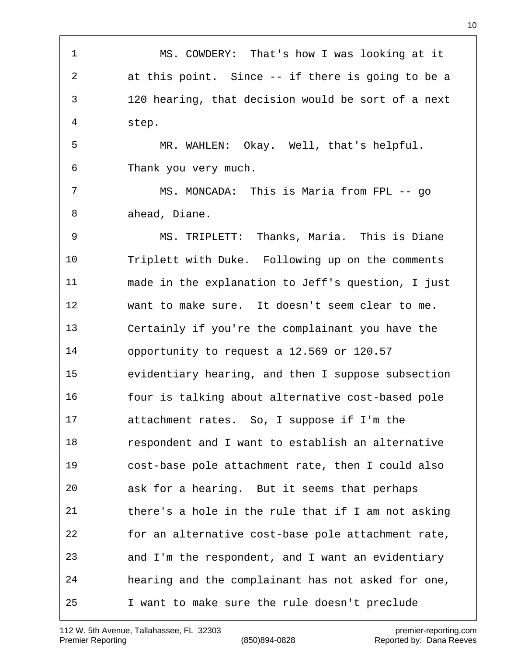MS. COWDERY: That's how I was looking at it at this point. Since -- if there is going to be a 120 hearing, that decision would be sort of a next step. MR. WAHLEN: Okay. Well, that's helpful. Thank you very much. MS. MONCADA: This is Maria from FPL -- go ahead, Diane. MS. TRIPLETT: Thanks, Maria. This is Diane Triplett with Duke. Following up on the comments made in the explanation to Jeff's question, I just want to make sure. It doesn't seem clear to me. Certainly if you're the complainant you have the opportunity to request a 12.569 or 120.57 evidentiary hearing, and then I suppose subsection four is talking about alternative cost-based pole attachment rates. So, I suppose if I'm the respondent and I want to establish an alternative cost-base pole attachment rate, then I could also ask for a hearing. But it seems that perhaps there's a hole in the rule that if I am not asking for an alternative cost-base pole attachment rate, and I'm the respondent, and I want an evidentiary hearing and the complainant has not asked for one, I want to make sure the rule doesn't preclude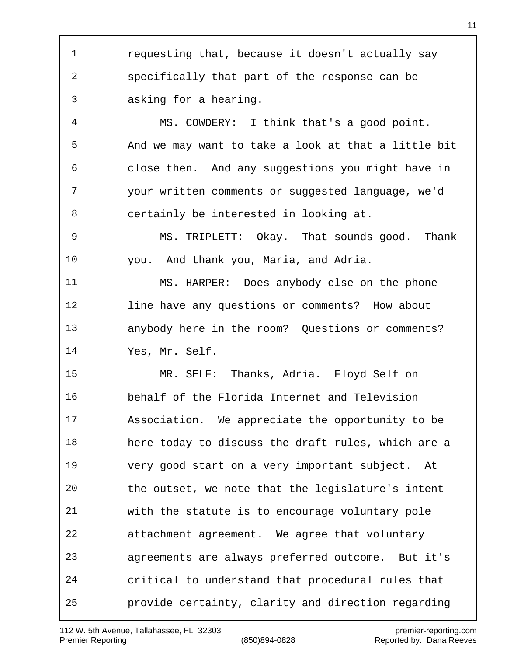requesting that, because it doesn't actually say specifically that part of the response can be asking for a hearing.

 MS. COWDERY: I think that's a good point. And we may want to take a look at that a little bit close then. And any suggestions you might have in your written comments or suggested language, we'd certainly be interested in looking at.

 MS. TRIPLETT: Okay. That sounds good. Thank you. And thank you, Maria, and Adria.

 MS. HARPER: Does anybody else on the phone line have any questions or comments? How about anybody here in the room? Questions or comments? Yes, Mr. Self.

 MR. SELF: Thanks, Adria. Floyd Self on behalf of the Florida Internet and Television Association. We appreciate the opportunity to be here today to discuss the draft rules, which are a very good start on a very important subject. At the outset, we note that the legislature's intent with the statute is to encourage voluntary pole attachment agreement. We agree that voluntary agreements are always preferred outcome. But it's critical to understand that procedural rules that provide certainty, clarity and direction regarding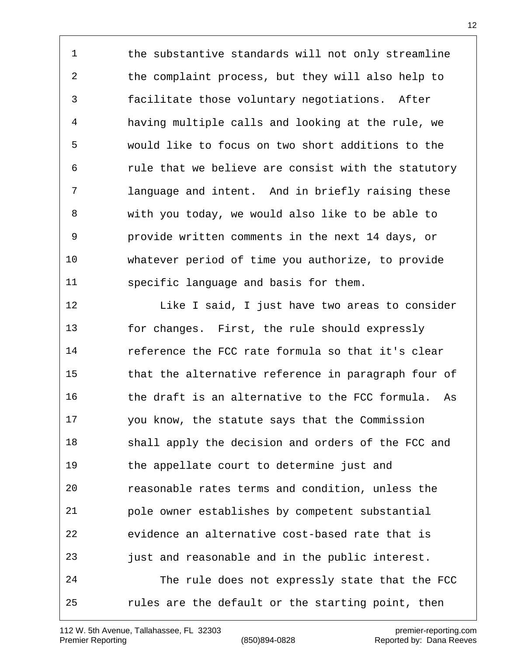1 the substantive standards will not only streamline the complaint process, but they will also help to facilitate those voluntary negotiations. After having multiple calls and looking at the rule, we would like to focus on two short additions to the rule that we believe are consist with the statutory language and intent. And in briefly raising these with you today, we would also like to be able to provide written comments in the next 14 days, or whatever period of time you authorize, to provide specific language and basis for them.

**Like I** said, I just have two areas to consider for changes. First, the rule should expressly reference the FCC rate formula so that it's clear that the alternative reference in paragraph four of 16 the draft is an alternative to the FCC formula. As you know, the statute says that the Commission shall apply the decision and orders of the FCC and the appellate court to determine just and reasonable rates terms and condition, unless the pole owner establishes by competent substantial evidence an alternative cost-based rate that is just and reasonable and in the public interest. The rule does not expressly state that the FCC rules are the default or the starting point, then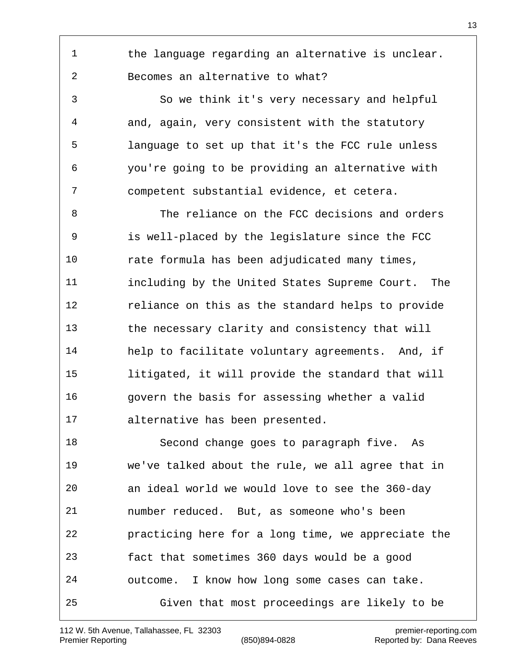1 the language regarding an alternative is unclear. Becomes an alternative to what?

 So we think it's very necessary and helpful and, again, very consistent with the statutory language to set up that it's the FCC rule unless you're going to be providing an alternative with competent substantial evidence, et cetera.

 The reliance on the FCC decisions and orders is well-placed by the legislature since the FCC rate formula has been adjudicated many times, including by the United States Supreme Court. The reliance on this as the standard helps to provide the necessary clarity and consistency that will help to facilitate voluntary agreements. And, if litigated, it will provide the standard that will 16 Govern the basis for assessing whether a valid alternative has been presented.

 Second change goes to paragraph five. As we've talked about the rule, we all agree that in an ideal world we would love to see the 360-day number reduced. But, as someone who's been practicing here for a long time, we appreciate the fact that sometimes 360 days would be a good outcome. I know how long some cases can take. Given that most proceedings are likely to be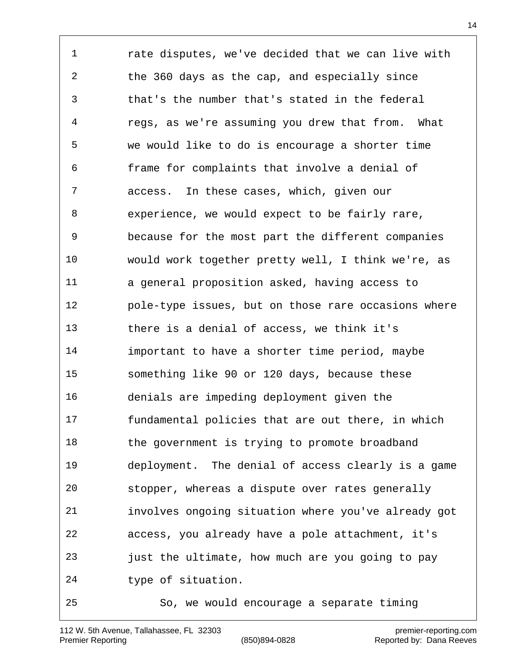rate disputes, we've decided that we can live with the 360 days as the cap, and especially since that's the number that's stated in the federal regs, as we're assuming you drew that from. What we would like to do is encourage a shorter time frame for complaints that involve a denial of access. In these cases, which, given our experience, we would expect to be fairly rare, because for the most part the different companies would work together pretty well, I think we're, as a general proposition asked, having access to pole-type issues, but on those rare occasions where there is a denial of access, we think it's important to have a shorter time period, maybe something like 90 or 120 days, because these denials are impeding deployment given the fundamental policies that are out there, in which 18 the government is trying to promote broadband deployment. The denial of access clearly is a game stopper, whereas a dispute over rates generally involves ongoing situation where you've already got access, you already have a pole attachment, it's just the ultimate, how much are you going to pay type of situation. So, we would encourage a separate timing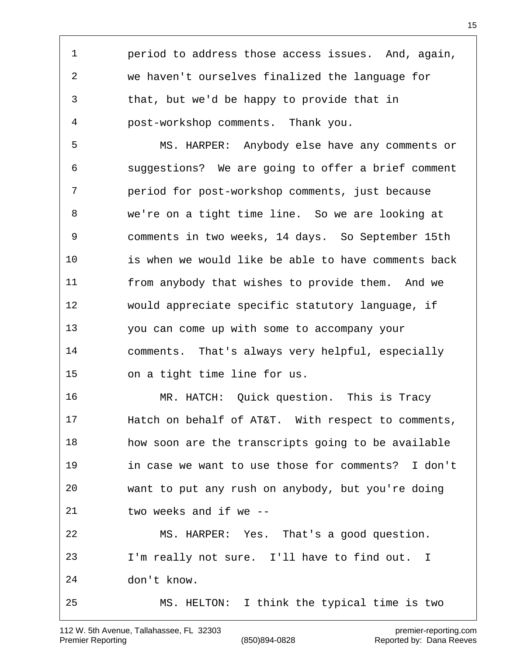period to address those access issues. And, again, we haven't ourselves finalized the language for that, but we'd be happy to provide that in post-workshop comments. Thank you.

 MS. HARPER: Anybody else have any comments or suggestions? We are going to offer a brief comment period for post-workshop comments, just because we're on a tight time line. So we are looking at comments in two weeks, 14 days. So September 15th is when we would like be able to have comments back from anybody that wishes to provide them. And we would appreciate specific statutory language, if you can come up with some to accompany your comments. That's always very helpful, especially on a tight time line for us.

 MR. HATCH: Quick question. This is Tracy Hatch on behalf of AT&T. With respect to comments, how soon are the transcripts going to be available in case we want to use those for comments? I don't want to put any rush on anybody, but you're doing two weeks and if we -- MS. HARPER: Yes. That's a good question. I'm really not sure. I'll have to find out. I don't know. MS. HELTON: I think the typical time is two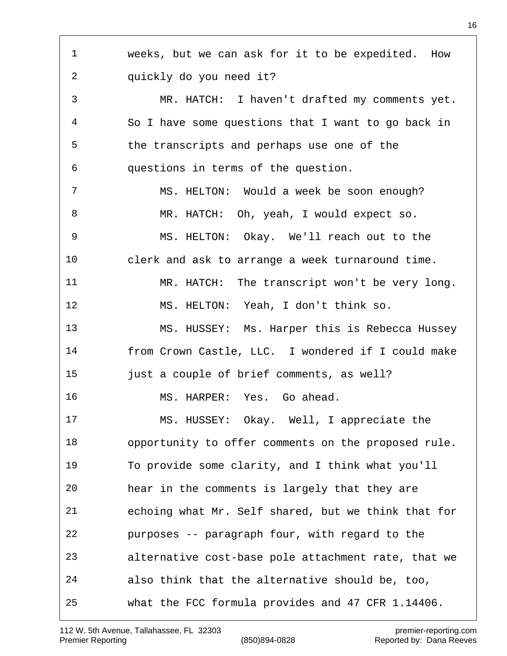weeks, but we can ask for it to be expedited. How quickly do you need it? MR. HATCH: I haven't drafted my comments yet. So I have some questions that I want to go back in the transcripts and perhaps use one of the questions in terms of the question. MS. HELTON: Would a week be soon enough? MR. HATCH: Oh, yeah, I would expect so. MS. HELTON: Okay. We'll reach out to the clerk and ask to arrange a week turnaround time. MR. HATCH: The transcript won't be very long. MS. HELTON: Yeah, I don't think so. MS. HUSSEY: Ms. Harper this is Rebecca Hussey from Crown Castle, LLC. I wondered if I could make **just a couple of brief comments, as well?**  MS. HARPER: Yes. Go ahead. MS. HUSSEY: Okay. Well, I appreciate the opportunity to offer comments on the proposed rule. To provide some clarity, and I think what you'll hear in the comments is largely that they are echoing what Mr. Self shared, but we think that for purposes -- paragraph four, with regard to the alternative cost-base pole attachment rate, that we also think that the alternative should be, too, what the FCC formula provides and 47 CFR 1.14406.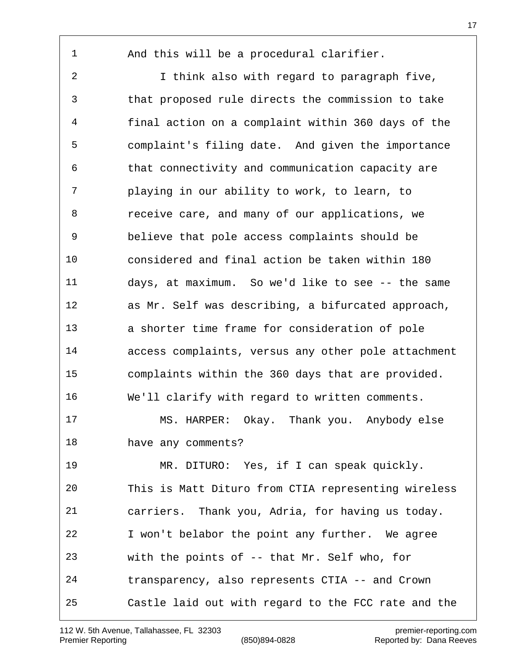And this will be a procedural clarifier.

 I think also with regard to paragraph five, that proposed rule directs the commission to take final action on a complaint within 360 days of the complaint's filing date. And given the importance that connectivity and communication capacity are playing in our ability to work, to learn, to receive care, and many of our applications, we believe that pole access complaints should be considered and final action be taken within 180 days, at maximum. So we'd like to see -- the same as Mr. Self was describing, a bifurcated approach, a shorter time frame for consideration of pole access complaints, versus any other pole attachment complaints within the 360 days that are provided. We'll clarify with regard to written comments. MS. HARPER: Okay. Thank you. Anybody else have any comments? MR. DITURO: Yes, if I can speak quickly. This is Matt Dituro from CTIA representing wireless carriers. Thank you, Adria, for having us today. I won't belabor the point any further. We agree

with the points of -- that Mr. Self who, for

transparency, also represents CTIA -- and Crown

Castle laid out with regard to the FCC rate and the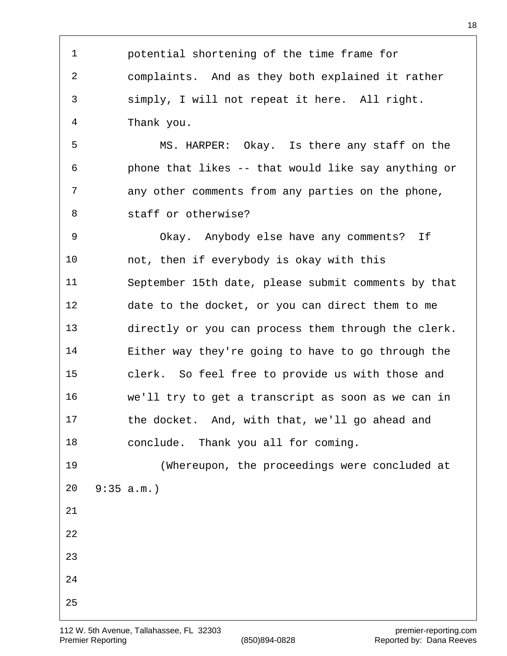potential shortening of the time frame for complaints. And as they both explained it rather simply, I will not repeat it here. All right. Thank you. MS. HARPER: Okay. Is there any staff on the phone that likes -- that would like say anything or any other comments from any parties on the phone, staff or otherwise? Okay. Anybody else have any comments? If not, then if everybody is okay with this September 15th date, please submit comments by that date to the docket, or you can direct them to me directly or you can process them through the clerk. Either way they're going to have to go through the clerk. So feel free to provide us with those and we'll try to get a transcript as soon as we can in the docket. And, with that, we'll go ahead and conclude. Thank you all for coming. (Whereupon, the proceedings were concluded at 9:35 a.m.)